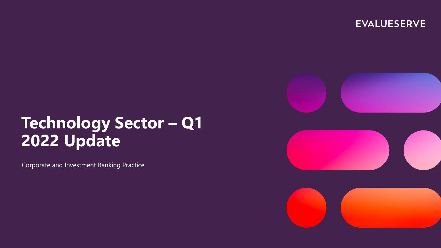**EVALUESERVE** 



# **Technology Sector – Q1 2022 Update**

Corporate and Investment Banking Practice



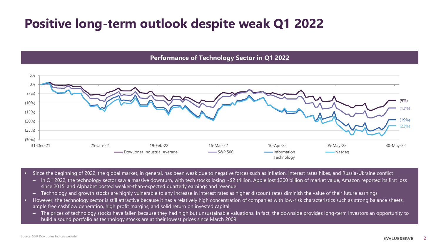### **Positive long-term outlook despite weak Q1 2022**

**Performance of Technology Sector in Q1 2022**



• Since the beginning of 2022, the global market, in general, has been weak due to negative forces such as inflation, interest rates hikes, and Russia-Ukraine conflict

- In Q1 2022, the technology sector saw a massive downturn, with tech stocks losing ~\$2 trillion. Apple lost \$200 billion of market value, Amazon reported its first loss since 2015, and Alphabet posted weaker-than-expected quarterly earnings and revenue
- Technology and growth stocks are highly vulnerable to any increase in interest rates as higher discount rates diminish the value of their future earnings
- However, the technology sector is still attractive because it has a relatively high concentration of companies with low-risk characteristics such as strong balance sheets, ample free cashflow generation, high profit margins, and solid return on invested capital
	- The prices of technology stocks have fallen because they had high but unsustainable valuations. In fact, the downside provides long-term investors an opportunity to build a sound portfolio as technology stocks are at their lowest prices since March 2009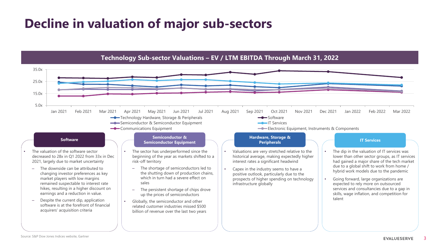### **Decline in valuation of major sub-sectors**

**Technology Sub-sector Valuations – EV / LTM EBITDA Through March 31, 2022**

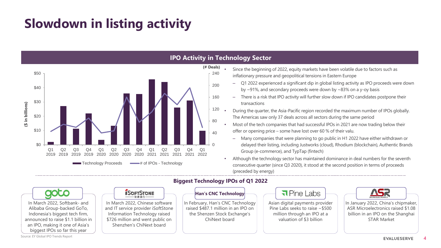# **Slowdown in listing activity**



#### **IPO Activity in Technology Sector**

- Since the beginning of 2022, equity markets have been volatile due to factors such as inflationary pressure and geopolitical tensions in Eastern Europe
	- Q1 2022 experienced a significant dip in global listing activity as IPO proceeds were down by ~91%, and secondary proceeds were down by ~83% on a y-oy basis
	- There is a risk that IPO activity will further slow down if IPO candidates postpone their transactions

• During the quarter, the Asia-Pacific region recorded the maximum number of IPOs globally. The Americas saw only 37 deals across all sectors during the same period

- Most of the tech companies that had successful IPOs in 2021 are now trading below their offer or opening price – some have lost over 60 % of their valu.
	- Many companies that were planning to go public in H1 2022 have either withdrawn or delayed their listing, including Justworks (cloud), Rhodium (blockchain), Authentic Brands Group (e-commerce), and TypTap (fintech)
- Although the technology sector has maintained dominance in deal numbers for the seventh consecutive quarter (since Q3 2020), it stood at the second position in terms of proceeds (preceded by energy)



#### **Biggest Technology IPOs of Q1 2022**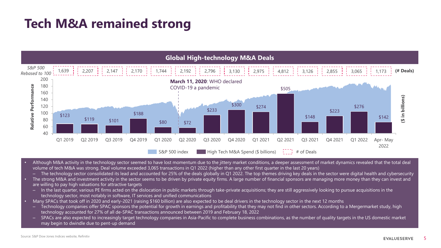### **Tech M&A remained strong**



- Although M&A activity in the technology sector seemed to have lost momentum due to the jittery market conditions, a deeper assessment of market dynamics revealed that the total deal volume of tech M&A was strong. Deal volume exceeded 3,065 transactions in Q1 2022 (higher than any other first quarter in the last 20 years)
	- The technology sector consolidated its lead and accounted for 25% of the deals globally in Q1 2022. The top themes driving key deals in the sector were digital health and cybersecurity
- The strong M&A and investment activity in the sector seems to be driven by private equity firms. A large number of financial sponsors are managing more money than they can invest and are willing to pay high valuations for attractive targets
	- In the last quarter, various PE firms acted on the dislocation in public markets through take-private acquisitions; they are still aggressively looking to pursue acquisitions in the technology sector, most notably in software, IT services and unified communications
- Many SPACs that took off in 2020 and early-2021 (raising \$160 billion) are also expected to be deal drivers in the technology sector in the next 12 months
	- Technology companies offer SPAC sponsors the potential for growth in earnings and profitability that they may not find in other sectors. According to a Mergermarket study, high technology accounted for 27% of all de-SPAC transactions announced between 2019 and February 18, 2022
	- SPACs are also expected to increasingly target technology companies in Asia-Pacific to complete business combinations, as the number of quality targets in the US domestic market may begin to dwindle due to pent-up demand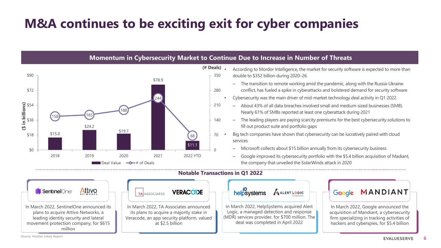# **M&A continues to be exciting exit for cyber companies**

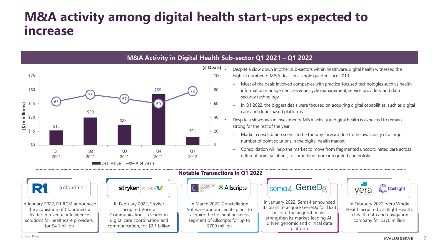#### **M&A activity among digital health start-ups expected to increase**



**Castlight** 

In February 2022, Vera Whole Health acquired Castlight Health, a health data and navigation company for \$370 million

vera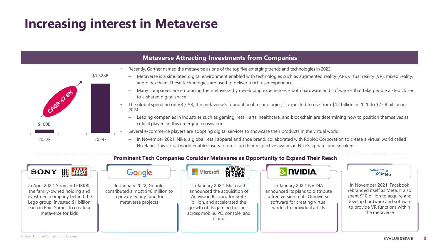### **Increasing interest in Metaverse**



8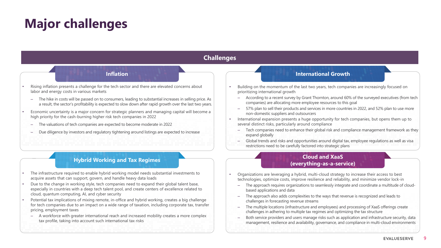# **Major challenges**

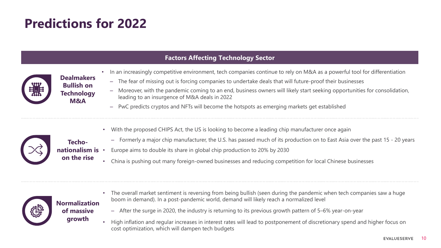# **Predictions for 2022**

**Bullish on Technology M&A** 

**Techo-**

**on the rise**

#### **Factors Affecting Technology Sector**



• In an increasingly competitive environment, tech companies continue to rely on M&A as a powerful tool for differentiation **Dealmakers** 

- The fear of missing out is forcing companies to undertake deals that will future-proof their businesses
- Moreover, with the pandemic coming to an end, business owners will likely start seeking opportunities for consolidation, leading to an insurgence of M&A deals in 2022
- PwC predicts cryptos and NFTs will become the hotspots as emerging markets get established



- With the proposed CHIPS Act, the US is looking to become a leading chip manufacturer once again
- Formerly a major chip manufacturer, the U.S. has passed much of its production on to East Asia over the past 15 20 years
- **nationalism is**  • Europe aims to double its share in global chip production to 20% by 2030
	- China is pushing out many foreign-owned businesses and reducing competition for local Chinese businesses



#### **Normalization of massive growth**

- The overall market sentiment is reversing from being bullish (seen during the pandemic when tech companies saw a huge boom in demand). In a post-pandemic world, demand will likely reach a normalized level
- After the surge in 2020, the industry is returning to its previous growth pattern of 5–6% year-on-year
- High inflation and regular increases in interest rates will lead to postponement of discretionary spend and higher focus on cost optimization, which will dampen tech budgets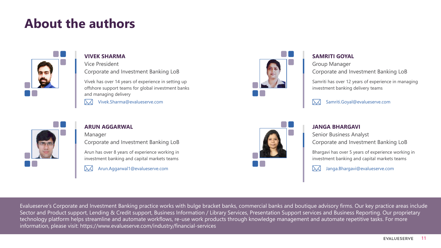### **About the authors**



#### **VIVEK SHARMA**

Vice President Corporate and Investment Banking LoB

Vivek has over 14 years of experience in setting up offshore support teams for global investment banks and managing delivery

 $\boxtimes$ Vivek.Sharma@evalueserve.com



#### **ARUN AGGARWAL**

Manager Corporate and Investment Banking LoB

Arun has over 8 years of experience working in investment banking and capital markets teams

 $\mathbb{M}$ Arun.Aggarwal1@evalueserve.com



#### **SAMRITI GOYAL**

Group Manager Corporate and Investment Banking LoB

Samriti has over 12 years of experience in managing investment banking delivery teams



Samriti.Goyal@evalueserve.com



#### **JANGA BHARGAVI**

Senior Business Analyst Corporate and Investment Banking LoB

Bhargavi has over 5 years of experience working in investment banking and capital markets teams

 $\mathbb{M}$ Janga.Bhargavi@evalueserve.com

Evalueserve's Corporate and Investment Banking practice works with bulge bracket banks, commercial banks and boutique advisory firms. Our key practice areas include Sector and Product support, Lending & Credit support, Business Information / Library Services, Presentation Support services and Business Reporting. Our proprietary technology platform helps streamline and automate workflows, re-use work products through knowledge management and automate repetitive tasks. For more information, please visit: https://www.evalueserve.com/industry/financial-services